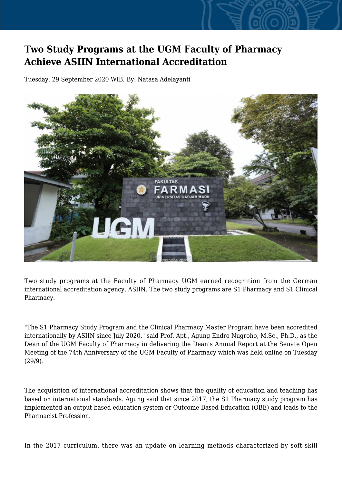## **Two Study Programs at the UGM Faculty of Pharmacy Achieve ASIIN International Accreditation**

Tuesday, 29 September 2020 WIB, By: Natasa Adelayanti



Two study programs at the Faculty of Pharmacy UGM earned recognition from the German international accreditation agency, ASIIN. The two study programs are S1 Pharmacy and S1 Clinical Pharmacy.

"The S1 Pharmacy Study Program and the Clinical Pharmacy Master Program have been accredited internationally by ASIIN since July 2020," said Prof. Apt., Agung Endro Nugroho, M.Sc., Ph.D., as the Dean of the UGM Faculty of Pharmacy in delivering the Dean's Annual Report at the Senate Open Meeting of the 74th Anniversary of the UGM Faculty of Pharmacy which was held online on Tuesday (29/9).

The acquisition of international accreditation shows that the quality of education and teaching has based on international standards. Agung said that since 2017, the S1 Pharmacy study program has implemented an output-based education system or Outcome Based Education (OBE) and leads to the Pharmacist Profession.

In the 2017 curriculum, there was an update on learning methods characterized by soft skill